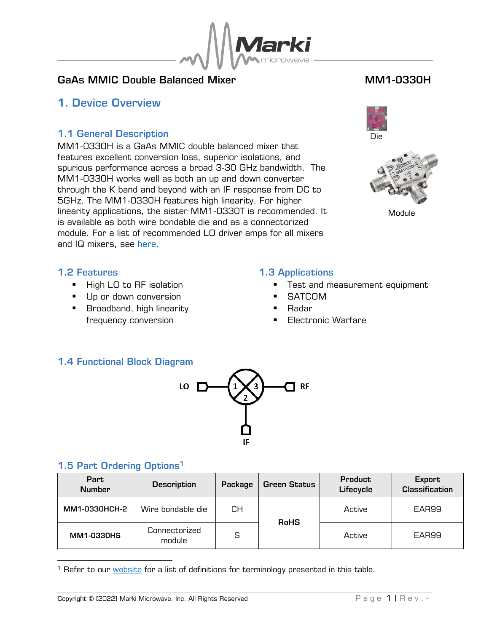

## GaAs MMIC Double Balanced Mixer MML Number of MM1-0330H

## <span id="page-0-0"></span>1. Device Overview

### 1.1 General Description

<span id="page-0-1"></span>MM1-0330H is a GaAs MMIC double balanced mixer that features excellent conversion loss, superior isolations, and spurious performance across a broad 3-30 GHz bandwidth. The MM1-0330H works well as both an up and down converter through the K band and beyond with an IF response from DC to 5GHz. The MM1-0330H features high linearity. For higher linearity applications, the sister MM1-0330T is recommended. It is available as both wire bondable die and as a connectorized module. For a list of recommended LO driver amps for all mixers and IQ mixers, see [here.](https://www.markimicrowave.com/engineering/resources/recommended-amplifiers/?utm_source=datasheet&utm_medium=note&utm_campaign=rec-amps)





Module

### <span id="page-0-2"></span>1.2 Features

- High LO to RF isolation
- Up or down conversion
- Broadband, high linearity frequency conversion

### <span id="page-0-3"></span>1.3 Applications

- Test and measurement equipment
- **SATCOM**
- **Radar**
- **Electronic Warfare**

## <span id="page-0-4"></span>1.4 Functional Block Diagram



## <span id="page-0-5"></span>1.5 Part Ordering Options<sup>1</sup>

| Part<br><b>Number</b> | <b>Description</b>      | Package | <b>Green Status</b> | Product<br>Lifecycle | Export<br><b>Classification</b> |  |
|-----------------------|-------------------------|---------|---------------------|----------------------|---------------------------------|--|
| MM1-0330HCH-2         | Wire bondable die       | CН      | <b>RoHS</b>         | Active               | EAR99                           |  |
| MM1-0330HS            | Connectorized<br>module | S       |                     | Active               | EAR99                           |  |

<sup>&</sup>lt;sup>1</sup> Refer to our *website* for a list of definitions for terminology presented in this table.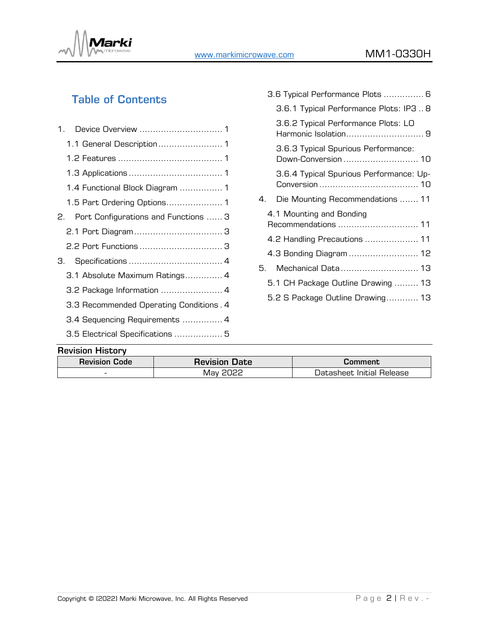

# Table of Contents

|    | 1.1 General Description 1               |  |
|----|-----------------------------------------|--|
|    |                                         |  |
|    |                                         |  |
|    | 1.4 Functional Block Diagram  1         |  |
|    |                                         |  |
|    | 2. Port Configurations and Functions  3 |  |
|    |                                         |  |
|    |                                         |  |
| З. |                                         |  |
|    | 3.1 Absolute Maximum Ratings 4          |  |
|    | 3.2 Package Information  4              |  |
|    | 3.3 Recommended Operating Conditions. 4 |  |
|    | 3.4 Sequencing Requirements  4          |  |
|    | 3.5 Electrical Specifications  5        |  |
|    |                                         |  |

|    | 3.6 Typical Performance Plots  6                            |
|----|-------------------------------------------------------------|
|    | 3.6.1 Typical Performance Plots: IP3  8                     |
|    | 3.6.2 Typical Performance Plots: LO<br>Harmonic Isolation 9 |
|    | 3.6.3 Typical Spurious Performance:<br>Down-Conversion  10  |
|    | 3.6.4 Typical Spurious Performance: Up-                     |
| 4. | Die Mounting Recommendations  11                            |
|    | 4.1 Mounting and Bonding<br>Recommendations  11             |
|    | 4.2 Handling Precautions  11                                |
|    | 4.3 Bonding Diagram  12                                     |
| 5. | Mechanical Data 13                                          |
|    | 5.1 CH Package Outline Drawing  13                          |
|    | 5.2 S Package Outline Drawing 13                            |
|    |                                                             |

### Revision History

| <b>Revision Code</b>     | <b>Revision Date</b> | Lomment                   |
|--------------------------|----------------------|---------------------------|
| $\overline{\phantom{a}}$ | פכחכ<br>⊣√lav ⊺      | Datasheet Initial Release |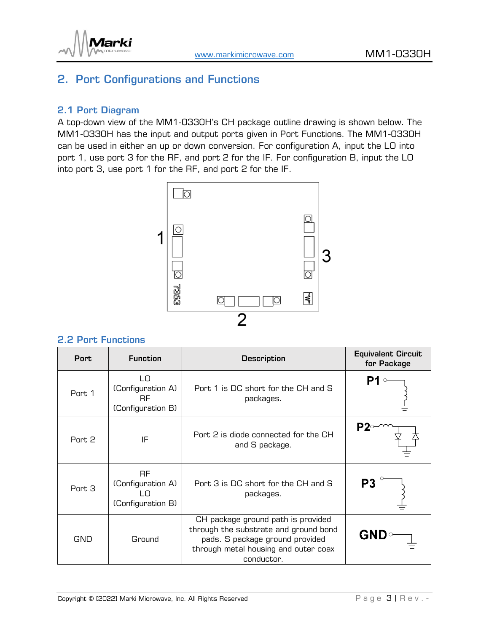

# <span id="page-2-0"></span>2. Port Configurations and Functions

### <span id="page-2-1"></span>2.1 Port Diagram

A top-down view of the MM1-0330H's CH package outline drawing is shown below. The MM1-0330H has the input and output ports given in Port Functions. The MM1-0330H can be used in either an up or down conversion. For configuration A, input the LO into port 1, use port 3 for the RF, and port 2 for the IF. For configuration B, input the LO into port 3, use port 1 for the RF, and port 2 for the IF.



### <span id="page-2-2"></span>2.2 Port Functions

| <b>Port</b> | <b>Function</b>                                           | <b>Description</b>                                                                                                                                                   | <b>Equivalent Circuit</b><br>for Package |
|-------------|-----------------------------------------------------------|----------------------------------------------------------------------------------------------------------------------------------------------------------------------|------------------------------------------|
| Port 1      | LO<br>(Configuration A)<br><b>RF</b><br>(Configuration B) | Port 1 is DC short for the CH and S<br>packages.                                                                                                                     |                                          |
| Port 2      | IF                                                        | Port 2 is diode connected for the CH<br>and S package.                                                                                                               |                                          |
| Port 3      | RF.<br>(Configuration A)<br>ח ו<br>(Configuration B)      | Port 3 is DC short for the CH and S<br>packages.                                                                                                                     | Р3                                       |
| <b>GND</b>  | Ground                                                    | CH package ground path is provided<br>through the substrate and ground bond<br>pads. S package ground provided<br>through metal housing and outer coax<br>conductor. | <b>GND</b>                               |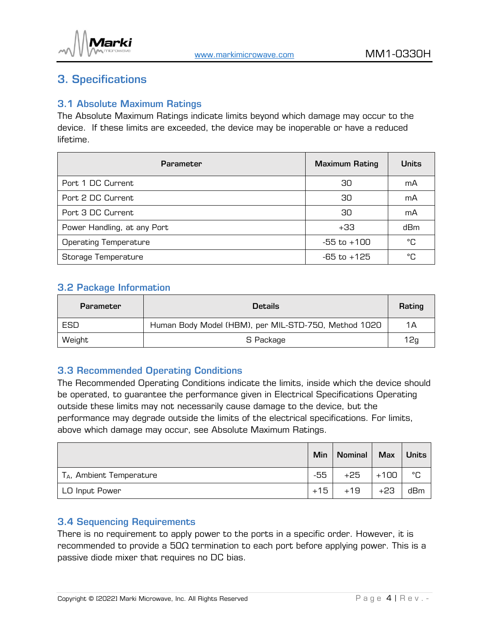

# <span id="page-3-0"></span>3. Specifications

### <span id="page-3-1"></span>3.1 Absolute Maximum Ratings

The Absolute Maximum Ratings indicate limits beyond which damage may occur to the device. If these limits are exceeded, the device may be inoperable or have a reduced lifetime.

| <b>Parameter</b>             | <b>Maximum Rating</b> | <b>Units</b> |
|------------------------------|-----------------------|--------------|
| Port 1 DC Current            | 30                    | mA           |
| Port 2 DC Current            | 30                    | mA           |
| Port 3 DC Current            | 30                    | mA           |
| Power Handling, at any Port  | $+33$                 | dBm          |
| <b>Operating Temperature</b> | $-55$ to $+100$       | °C           |
| Storage Temperature          | $-65$ to $+125$       | °C           |

### <span id="page-3-2"></span>3.2 Package Information

| <b>Parameter</b> | <b>Details</b>                                       | Rating |
|------------------|------------------------------------------------------|--------|
| ESD              | Human Body Model (HBM), per MIL-STD-750, Method 1020 | 1Α     |
| Weight           | S Package                                            | 12g    |

## <span id="page-3-3"></span>3.3 Recommended Operating Conditions

The Recommended Operating Conditions indicate the limits, inside which the device should be operated, to guarantee the performance given in Electrical Specifications Operating outside these limits may not necessarily cause damage to the device, but the performance may degrade outside the limits of the electrical specifications. For limits, above which damage may occur, see Absolute Maximum Ratings.

|                             | Min   | Nominal | <b>Max</b> | <b>Units</b> |
|-----------------------------|-------|---------|------------|--------------|
| $T_A$ , Ambient Temperature | -55   | +25     | $+100$     | °C           |
| LO Input Power              | $+15$ | $+19$   | $+23$      | dBm          |

## <span id="page-3-4"></span>3.4 Sequencing Requirements

There is no requirement to apply power to the ports in a specific order. However, it is recommended to provide a 50 $\Omega$  termination to each port before applying power. This is a passive diode mixer that requires no DC bias.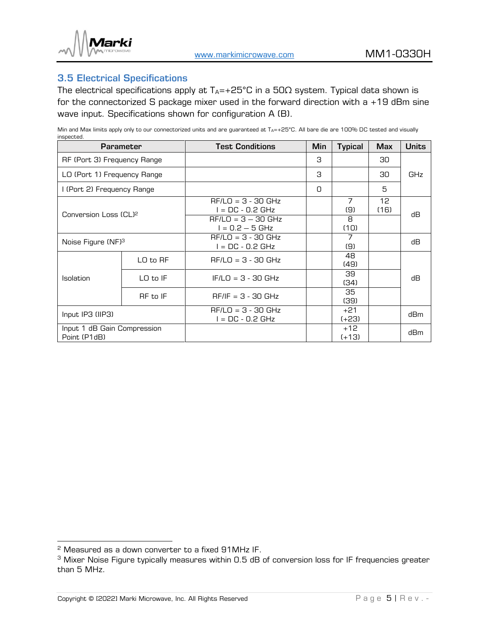

### <span id="page-4-0"></span>3.5 Electrical Specifications

The electrical specifications apply at  $T_A$ =+25°C in a 50 $\Omega$  system. Typical data shown is for the connectorized S package mixer used in the forward direction with a +19 dBm sine wave input. Specifications shown for configuration A (B).

Min and Max limits apply only to our connectorized units and are guaranteed at  $T_{A}=+25^{\circ}C$ . All bare die are 100% DC tested and visually inspected.

|                                             | <b>Parameter</b> | <b>Test Conditions</b>                   | Min | <b>Typical</b>        | <b>Max</b> | <b>Units</b> |
|---------------------------------------------|------------------|------------------------------------------|-----|-----------------------|------------|--------------|
| RF (Port 3) Frequency Range                 |                  |                                          | З   |                       | 30         |              |
| LO (Port 1) Frequency Range                 |                  |                                          | З   |                       | 30         | <b>GHz</b>   |
| I (Port 2) Frequency Range                  |                  |                                          | 0   |                       | 5          |              |
|                                             |                  | $RF/LO = 3 - 30 GHz$<br>$=$ DC - 0.2 GHz |     | $\overline{7}$<br>(9) | 12<br>(16) | dВ           |
| Conversion Loss (CL) <sup>2</sup>           |                  | $RF/LO = 3 - 30 GHz$<br>l = 0.2 – 5 GHz  |     | 8<br>(10)             |            |              |
| Noise Figure (NF) <sup>3</sup>              |                  | $RF/LO = 3 - 30 GHz$<br>$=$ DC - 0.2 GHz |     | 7<br>(9)              |            | dВ           |
|                                             | LO to RF         | $RF/LO = 3 - 30 GHz$                     |     | 48<br>(49)            |            |              |
| <b>Isolation</b>                            | $LO$ to $IF$     | $IF/LO = 3 - 30 GHz$                     |     | 39<br>(34)            |            | dВ           |
|                                             | RF to IF         | $RF/IF = 3 - 30 GHz$                     |     | 35<br>(39)            |            |              |
| Input IP3 (IIP3)                            |                  | $RF/LO = 3 - 30 GHz$<br>$=$ DC - 0.2 GHz |     | $+21$<br>$(+23)$      |            | dBm          |
| Input 1 dB Gain Compression<br>Point (P1dB) |                  |                                          |     | $+12$<br>$(+13)$      |            | dBm          |

<sup>2</sup> Measured as a down converter to a fixed 91MHz IF.

<sup>&</sup>lt;sup>3</sup> Mixer Noise Figure typically measures within 0.5 dB of conversion loss for IF frequencies greater than 5 MHz.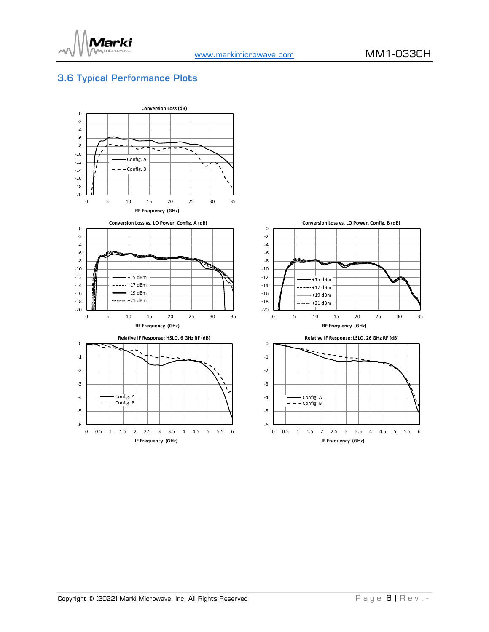

## <span id="page-5-0"></span>3.6 Typical Performance Plots

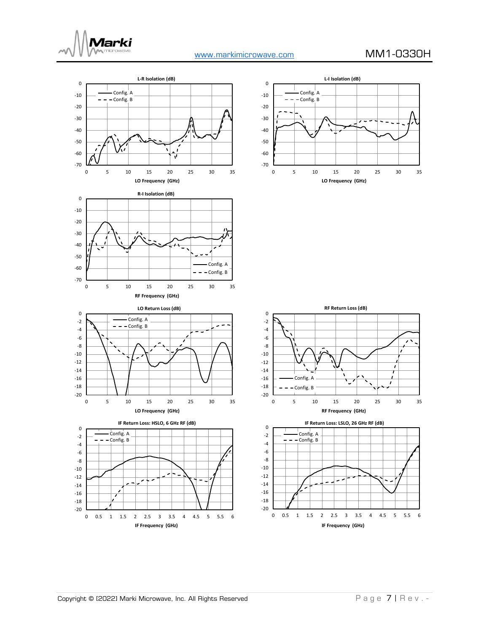







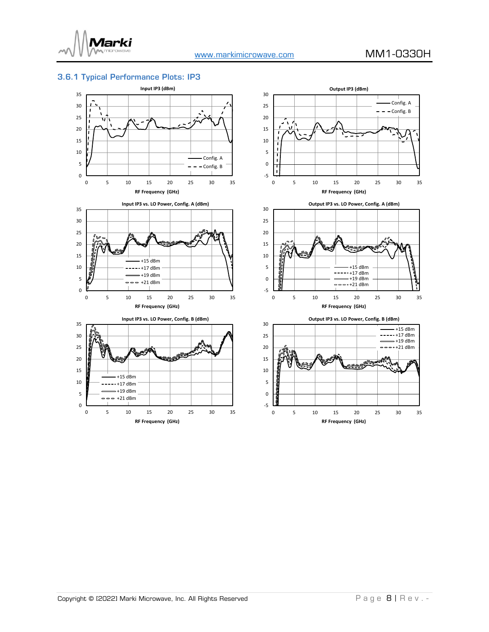

0

### <span id="page-7-0"></span>3.6.1 Typical Performance Plots: IP3



0 5 10 15 20 25 30 35 **RF Frequency (GHz)**

 $- +21$  dBm





**Output IP3 vs. LO Power, Config. B (dBm)**

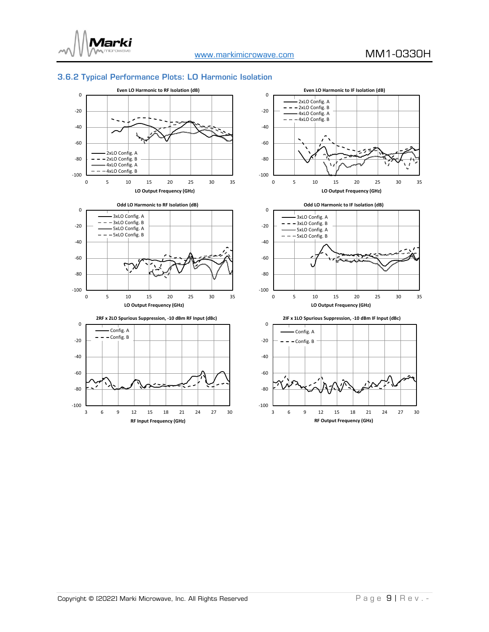

### <span id="page-8-0"></span>3.6.2 Typical Performance Plots: LO Harmonic Isolation













0

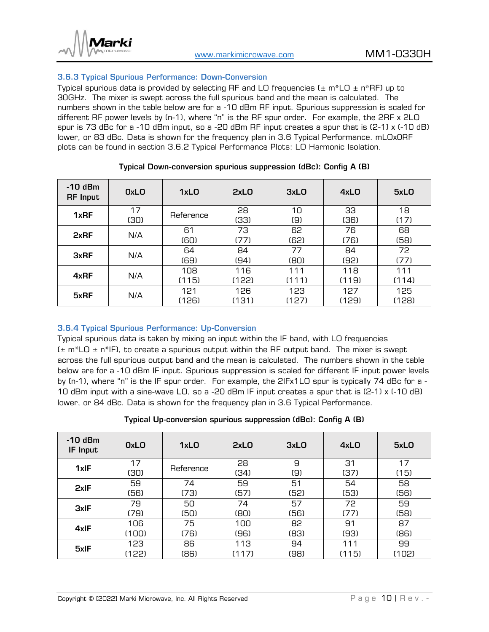

### <span id="page-9-0"></span>3.6.3 Typical Spurious Performance: Down-Conversion

Typical spurious data is provided by selecting RF and LO frequencies ( $\pm$  m\*LO  $\pm$  n\*RF) up to 30GHz. The mixer is swept across the full spurious band and the mean is calculated. The numbers shown in the table below are for a -10 dBm RF input. Spurious suppression is scaled for different RF power levels by (n-1), where "n" is the RF spur order. For example, the 2RF x 2LO spur is 73 dBc for a -10 dBm input, so a -20 dBm RF input creates a spur that is (2-1) x (-10 dB) lower, or 83 dBc. Data is shown for the frequency plan in [3.6 Typical Performance.](#page-5-0) mLOx0RF plots can be found in section 3.6.2 [Typical Performance Plots: LO Harmonic Isolation.](#page-8-0)

| $-10$ dBm<br><b>RF</b> Input | <b>OxLO</b> | 1xLO         | 2xL0         | 3xLO         | 4xLO         | 5xLO         |
|------------------------------|-------------|--------------|--------------|--------------|--------------|--------------|
| 1xRF                         | 17<br>(30)  | Reference    | 28<br>(33)   | 10<br>(9)    | 33<br>(36)   | 18<br>(17)   |
| 2xRF                         | N/A         | 61<br>(60)   | 73<br>(77)   | 62<br>(62)   | 76<br>(76)   | 68<br>(58)   |
| <b>3xRF</b>                  | N/A         | 64<br>(69)   | 84<br>(94)   | 77<br>(80)   | 84<br>(92)   | 72<br>(77)   |
| 4xRF                         | N/A         | 108<br>(115) | 116<br>(122) | 111<br>(111) | 118<br>(119) | 111<br>(114) |
| 5xRF                         | N/A         | 121<br>(126) | 126<br>(131) | 123<br>(127) | 127<br>(129) | 125<br>(128) |

### Typical Down-conversion spurious suppression (dBc): Config A (B)

### <span id="page-9-1"></span>3.6.4 Typical Spurious Performance: Up-Conversion

Typical spurious data is taken by mixing an input within the IF band, with LO frequencies  $(\pm m*LO \pm n*IP)$ , to create a spurious output within the RF output band. The mixer is swept across the full spurious output band and the mean is calculated. The numbers shown in the table below are for a -10 dBm IF input. Spurious suppression is scaled for different IF input power levels by (n-1), where "n" is the IF spur order. For example, the 2IFx1LO spur is typically 74 dBc for a - 10 dBm input with a sine-wave LO, so a -20 dBm IF input creates a spur that is (2-1) x (-10 dB) lower, or 84 dBc. Data is shown for the frequency plan in [3.6 Typical Performance.](#page-5-0)

Typical Up-conversion spurious suppression (dBc): Config A (B)

| $-10$ dBm<br>IF Input | <b>OxLO</b> | 1xLO      | 2xL0  | 3xLO | 4xLO  | 5xLO  |
|-----------------------|-------------|-----------|-------|------|-------|-------|
| 1xIF                  | 17          | Reference | 28    | 9    | 31    | 17    |
|                       | (30)        |           | (34)  | (9)  | (37)  | (15)  |
| 2xIF                  | 59          | 74        | 59    | 51   | 54    | 58    |
|                       | (56)        | (73)      | (57)  | (52) | (53)  | (56)  |
| <b>3xIF</b>           | 79          | 50        | 74    | 57   | 72    | 59    |
|                       | (79)        | (50)      | (80)  | (56) | (77)  | (58)  |
|                       | 106         | 75        | 100   | 82   | 91    | 87    |
| 4xIF                  | (100)       | (76)      | (96)  | (B3) | (93)  | (B6)  |
|                       | 123         | 86        | 113   | 94   | 111   | 99    |
| 5xIF                  | (122)       | (86)      | (117) | (98) | (115) | (102) |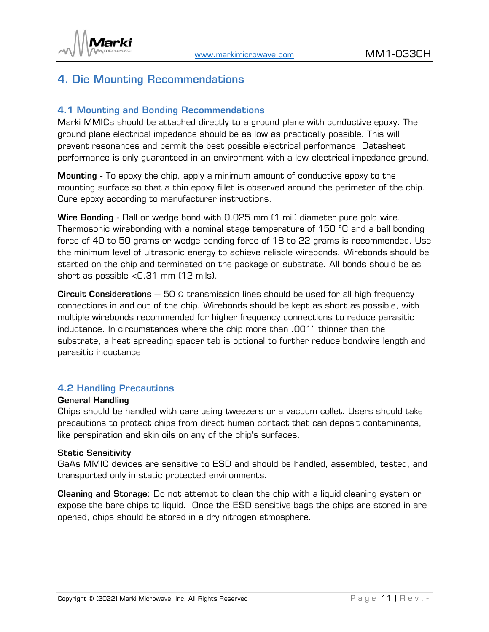

# <span id="page-10-0"></span>4. Die Mounting Recommendations

### <span id="page-10-1"></span>4.1 Mounting and Bonding Recommendations

Marki MMICs should be attached directly to a ground plane with conductive epoxy. The ground plane electrical impedance should be as low as practically possible. This will prevent resonances and permit the best possible electrical performance. Datasheet performance is only guaranteed in an environment with a low electrical impedance ground.

Mounting - To epoxy the chip, apply a minimum amount of conductive epoxy to the mounting surface so that a thin epoxy fillet is observed around the perimeter of the chip. Cure epoxy according to manufacturer instructions.

Wire Bonding - Ball or wedge bond with 0.025 mm (1 mil) diameter pure gold wire. Thermosonic wirebonding with a nominal stage temperature of 150 °C and a ball bonding force of 40 to 50 grams or wedge bonding force of 18 to 22 grams is recommended. Use the minimum level of ultrasonic energy to achieve reliable wirebonds. Wirebonds should be started on the chip and terminated on the package or substrate. All bonds should be as short as possible <0.31 mm (12 mils).

Circuit Considerations – 50  $\Omega$  transmission lines should be used for all high frequency connections in and out of the chip. Wirebonds should be kept as short as possible, with multiple wirebonds recommended for higher frequency connections to reduce parasitic inductance. In circumstances where the chip more than .001" thinner than the substrate, a heat spreading spacer tab is optional to further reduce bondwire length and parasitic inductance.

### <span id="page-10-2"></span>4.2 Handling Precautions

### General Handling

Chips should be handled with care using tweezers or a vacuum collet. Users should take precautions to protect chips from direct human contact that can deposit contaminants, like perspiration and skin oils on any of the chip's surfaces.

### Static Sensitivity

GaAs MMIC devices are sensitive to ESD and should be handled, assembled, tested, and transported only in static protected environments.

Cleaning and Storage: Do not attempt to clean the chip with a liquid cleaning system or expose the bare chips to liquid. Once the ESD sensitive bags the chips are stored in are opened, chips should be stored in a dry nitrogen atmosphere.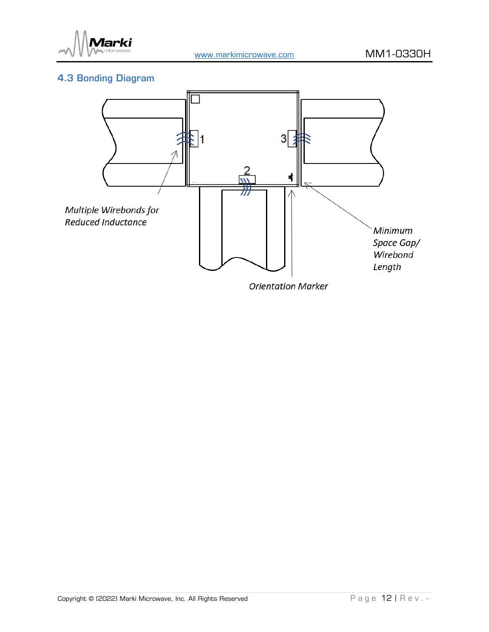

## <span id="page-11-0"></span>4.3 Bonding Diagram



**Orientation Marker**